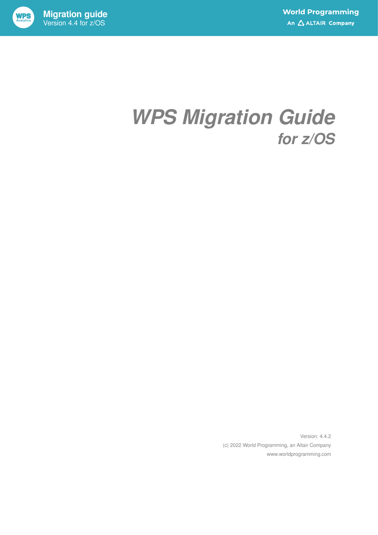

## *WPS Migration Guide for z/OS*

Version: 4.4.2 (c) 2022 World Programming, an Altair Company www.worldprogramming.com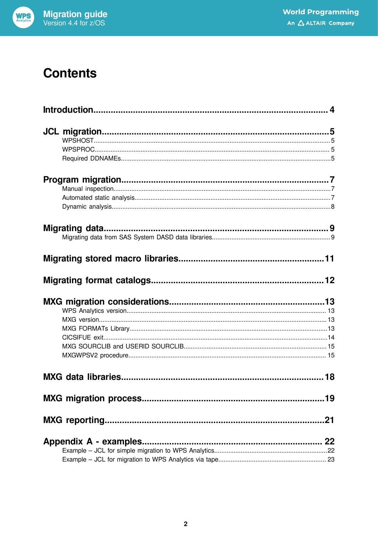

### **Contents**

|                        | 18 |
|------------------------|----|
|                        |    |
|                        |    |
| Appendix A - examples. |    |
|                        |    |
|                        |    |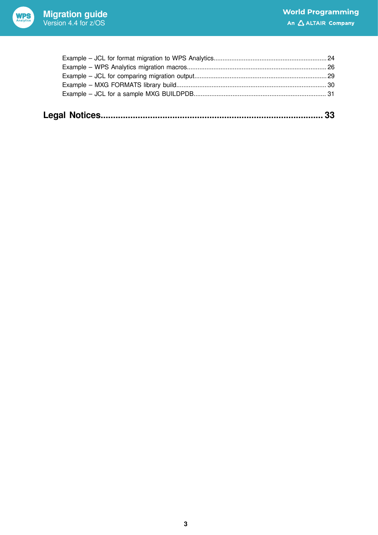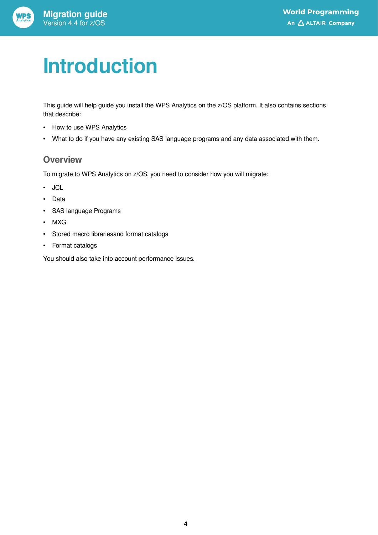## <span id="page-3-0"></span>**Introduction**

This guide will help guide you install the WPS Analytics on the z/OS platform. It also contains sections that describe:

- How to use WPS Analytics
- What to do if you have any existing SAS language programs and any data associated with them.

### **Overview**

To migrate to WPS Analytics on z/OS, you need to consider how you will migrate:

- JCL
- Data
- SAS language Programs
- MXG
- Stored macro librariesand format catalogs
- Format catalogs

You should also take into account performance issues.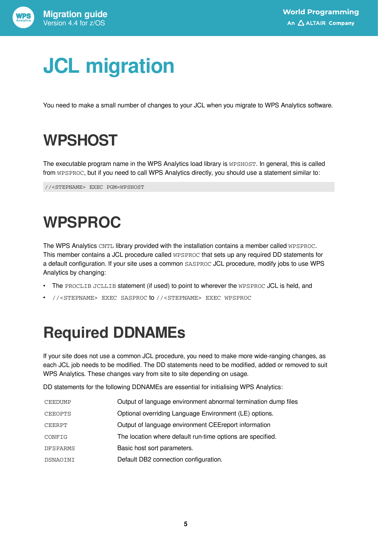

## <span id="page-4-0"></span>**JCL migration**

You need to make a small number of changes to your JCL when you migrate to WPS Analytics software.

## <span id="page-4-1"></span>**WPSHOST**

The executable program name in the WPS Analytics load library is WPSHOST. In general, this is called from WPSPROC, but if you need to call WPS Analytics directly, you should use a statement similar to:

//<STEPNAME> EXEC PGM=WPSHOST

## <span id="page-4-2"></span>**WPSPROC**

The WPS Analytics CNTL library provided with the installation contains a member called WPSPROC. This member contains a JCL procedure called WPSPROC that sets up any required DD statements for a default configuration. If your site uses a common SASPROC JCL procedure, modify jobs to use WPS Analytics by changing:

- The PROCLIB JCLLIB statement (if used) to point to wherever the WPSPROC JCL is held, and
- //<STEPNAME> EXEC SASPROC to //<STEPNAME> EXEC WPSPROC

## <span id="page-4-3"></span>**Required DDNAMEs**

If your site does not use a common JCL procedure, you need to make more wide-ranging changes, as each JCL job needs to be modified. The DD statements need to be modified, added or removed to suit WPS Analytics. These changes vary from site to site depending on usage.

DD statements for the following DDNAMEs are essential for initialising WPS Analytics:

| CEEDUMP        | Output of language environment abnormal termination dump files |
|----------------|----------------------------------------------------------------|
| <b>CEEOPTS</b> | Optional overriding Language Environment (LE) options.         |
| CEERPT         | Output of language environment CEE report information          |
| CONFIG         | The location where default run-time options are specified.     |
| DFSPARMS       | Basic host sort parameters.                                    |
| DSNAOINI       | Default DB2 connection configuration.                          |
|                |                                                                |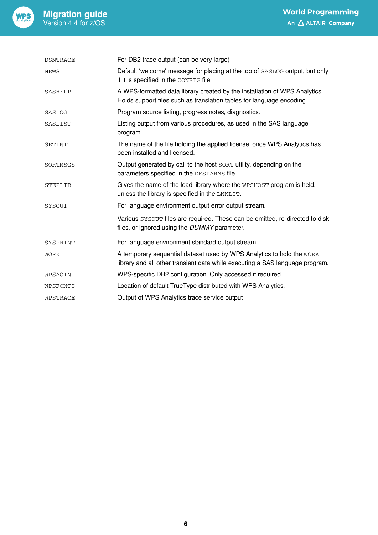

| <b>DSNTRACE</b> | For DB2 trace output (can be very large)                                                                                                              |
|-----------------|-------------------------------------------------------------------------------------------------------------------------------------------------------|
| <b>NEWS</b>     | Default 'welcome' message for placing at the top of SASLOG output, but only<br>if it is specified in the CONFIG file.                                 |
| <b>SASHELP</b>  | A WPS-formatted data library created by the installation of WPS Analytics.<br>Holds support files such as translation tables for language encoding.   |
| SASLOG          | Program source listing, progress notes, diagnostics.                                                                                                  |
| SASLIST         | Listing output from various procedures, as used in the SAS language<br>program.                                                                       |
| SETINIT         | The name of the file holding the applied license, once WPS Analytics has<br>been installed and licensed.                                              |
| SORTMSGS        | Output generated by call to the host SORT utility, depending on the<br>parameters specified in the DFSPARMS file                                      |
| <b>STEPLIB</b>  | Gives the name of the load library where the WPSHOST program is held,<br>unless the library is specified in the LNKLST.                               |
| SYSOUT          | For language environment output error output stream.                                                                                                  |
|                 | Various SYSOUT files are required. These can be omitted, re-directed to disk<br>files, or ignored using the DUMMY parameter.                          |
| SYSPRINT        | For language environment standard output stream                                                                                                       |
| WORK            | A temporary sequential dataset used by WPS Analytics to hold the WORK<br>library and all other transient data while executing a SAS language program. |
| WPSAOINI        | WPS-specific DB2 configuration. Only accessed if required.                                                                                            |
| WPSFONTS        | Location of default TrueType distributed with WPS Analytics.                                                                                          |
| WPSTRACE        | Output of WPS Analytics trace service output                                                                                                          |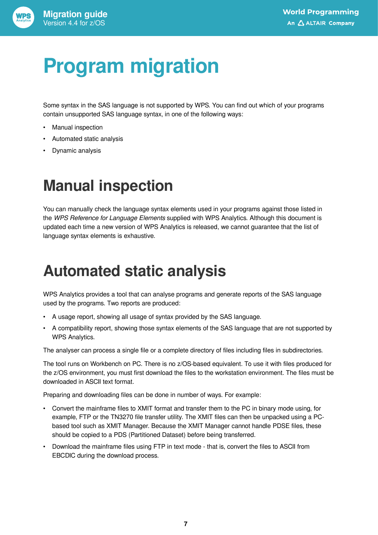# <span id="page-6-0"></span>**Program migration**

Some syntax in the SAS language is not supported by WPS. You can find out which of your programs contain unsupported SAS language syntax, in one of the following ways:

- Manual inspection
- Automated static analysis
- Dynamic analysis

### <span id="page-6-1"></span>**Manual inspection**

You can manually check the language syntax elements used in your programs against those listed in the *WPS Reference for Language Elements* supplied with WPS Analytics. Although this document is updated each time a new version of WPS Analytics is released, we cannot guarantee that the list of language syntax elements is exhaustive.

### <span id="page-6-2"></span>**Automated static analysis**

WPS Analytics provides a tool that can analyse programs and generate reports of the SAS language used by the programs. Two reports are produced:

- A usage report, showing all usage of syntax provided by the SAS language.
- A compatibility report, showing those syntax elements of the SAS language that are not supported by WPS Analytics.

The analyser can process a single file or a complete directory of files including files in subdirectories.

The tool runs on Workbench on PC. There is no z/OS-based equivalent. To use it with files produced for the z/OS environment, you must first download the files to the workstation environment. The files must be downloaded in ASCII text format.

Preparing and downloading files can be done in number of ways. For example:

- Convert the mainframe files to XMIT format and transfer them to the PC in binary mode using, for example, FTP or the TN3270 file transfer utility. The XMIT files can then be unpacked using a PCbased tool such as XMIT Manager. Because the XMIT Manager cannot handle PDSE files, these should be copied to a PDS (Partitioned Dataset) before being transferred.
- Download the mainframe files using FTP in text mode that is, convert the files to ASCII from EBCDIC during the download process.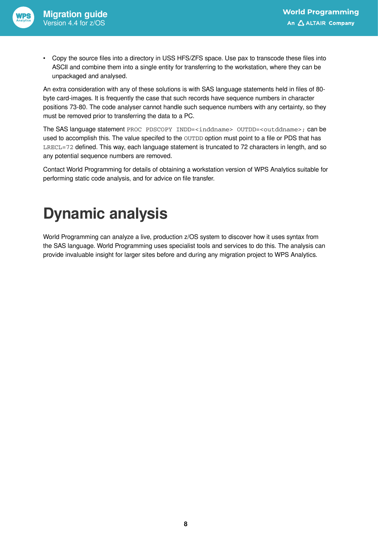

• Copy the source files into a directory in USS HFS/ZFS space. Use pax to transcode these files into ASCII and combine them into a single entity for transferring to the workstation, where they can be unpackaged and analysed.

An extra consideration with any of these solutions is with SAS language statements held in files of 80 byte card-images. It is frequently the case that such records have sequence numbers in character positions 73-80. The code analyser cannot handle such sequence numbers with any certainty, so they must be removed prior to transferring the data to a PC.

The SAS language statement PROC PDSCOPY INDD=<inddname> OUTDD=<outddname>; can be used to accomplish this. The value specifed to the OUTDD option must point to a file or PDS that has LRECL=72 defined. This way, each language statement is truncated to 72 characters in length, and so any potential sequence numbers are removed.

Contact World Programming for details of obtaining a workstation version of WPS Analytics suitable for performing static code analysis, and for advice on file transfer.

### <span id="page-7-0"></span>**Dynamic analysis**

World Programming can analyze a live, production z/OS system to discover how it uses syntax from the SAS language. World Programming uses specialist tools and services to do this. The analysis can provide invaluable insight for larger sites before and during any migration project to WPS Analytics.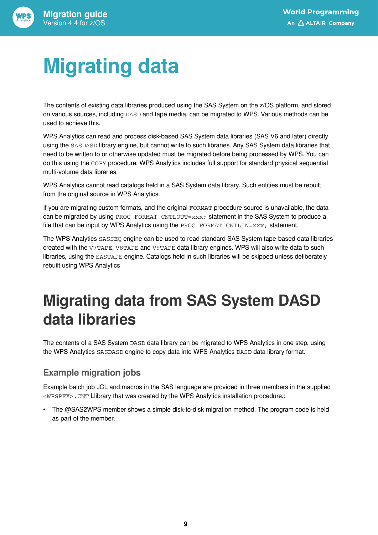# <span id="page-8-0"></span>**Migrating data**

The contents of existing data libraries produced using the SAS System on the z/OS platform, and stored on various sources, including DASD and tape media, can be migrated to WPS. Various methods can be used to achieve this.

WPS Analytics can read and process disk-based SAS System data libraries (SAS V6 and later) directly using the SASDASD library engine, but cannot write to such libraries. Any SAS System data libraries that need to be written to or otherwise updated must be migrated before being processed by WPS. You can do this using the COPY procedure. WPS Analytics includes full support for standard physical sequential multi-volume data libraries.

WPS Analytics cannot read catalogs held in a SAS System data library. Such entities must be rebuilt from the original source in WPS Analytics.

If you are migrating custom formats, and the original FORMAT procedure source is unavailable, the data can be migrated by using PROC FORMAT CNTLOUT=xxx; statement in the SAS System to produce a file that can be input by WPS Analytics using the PROC FORMAT CNTLIN= $xxx$ ; statement.

The WPS Analytics SASSEQ engine can be used to read standard SAS System tape-based data libraries created with the V7TAPE, V8TAPE and V9TAPE data library engines. WPS will also write data to such libraries, using the SASTAPE engine. Catalogs held in such libraries will be skipped unless deliberately rebuilt using WPS Analytics

### <span id="page-8-1"></span>**Migrating data from SAS System DASD data libraries**

The contents of a SAS System DASD data library can be migrated to WPS Analytics in one step, using the WPS Analytics SASDASD engine to copy data into WPS Analytics DASD data library format.

### **Example migration jobs**

Example batch job JCL and macros in the SAS language are provided in three members in the supplied <WPSPFX>.CNT Llibrary that was created by the WPS Analytics installation procedure.:

• The @SAS2WPS member shows a simple disk-to-disk migration method. The program code is held as part of the member.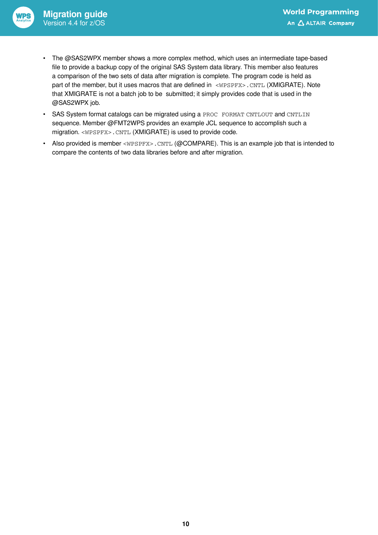- The @SAS2WPX member shows a more complex method, which uses an intermediate tape-based file to provide a backup copy of the original SAS System data library. This member also features a comparison of the two sets of data after migration is complete. The program code is held as part of the member, but it uses macros that are defined in <WPSPFX>.CNTL (XMIGRATE). Note that XMIGRATE is not a batch job to be submitted; it simply provides code that is used in the @SAS2WPX job.
- SAS System format catalogs can be migrated using a PROC FORMAT CNTLOUT and CNTLIN sequence. Member @FMT2WPS provides an example JCL sequence to accomplish such a migration. <WPSPFX>.CNTL (XMIGRATE) is used to provide code.
- Also provided is member <WPSPFX>. CNTL (@COMPARE). This is an example job that is intended to compare the contents of two data libraries before and after migration.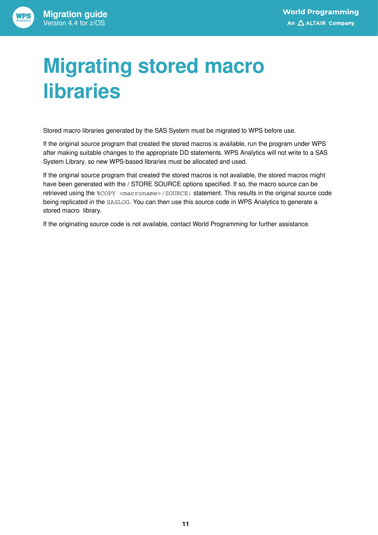# <span id="page-10-0"></span>**Migrating stored macro libraries**

Stored macro libraries generated by the SAS System must be migrated to WPS before use.

If the original source program that created the stored macros is available, run the program under WPS after making suitable changes to the appropriate DD statements. WPS Analytics will not write to a SAS System Library, so new WPS-based libraries must be allocated and used.

If the original source program that created the stored macros is not available, the stored macros might have been generated with the / STORE SOURCE options specified. If so, the macro source can be retrieved using the %COPY <macroname>/SOURCE; statement. This results in the original source code being replicated in the SASLOG. You can then use this source code in WPS Analytics to generate a stored macro library.

If the originating source code is not available, contact World Programming for further assistance.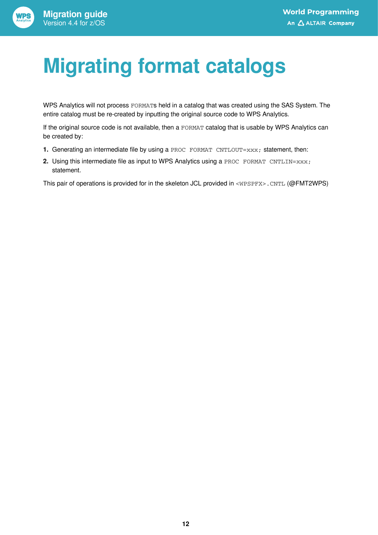# <span id="page-11-0"></span>**Migrating format catalogs**

WPS Analytics will not process FORMATs held in a catalog that was created using the SAS System. The entire catalog must be re-created by inputting the original source code to WPS Analytics.

If the original source code is not available, then a FORMAT catalog that is usable by WPS Analytics can be created by:

- **1.** Generating an intermediate file by using a PROC FORMAT CNTLOUT= $xxx$ ; statement, then:
- **2.** Using this intermediate file as input to WPS Analytics using a PROC FORMAT CNTLIN=xxx; statement.

This pair of operations is provided for in the skeleton JCL provided in <WPSPFX>.CNTL (@FMT2WPS)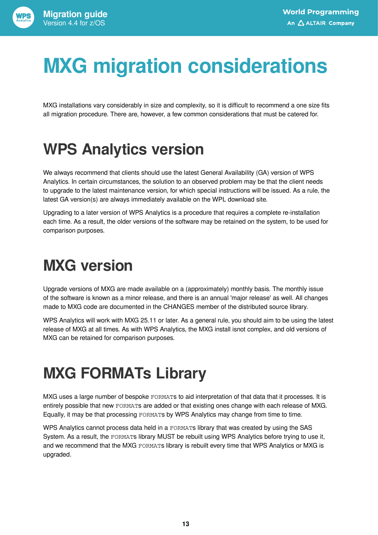# <span id="page-12-0"></span>**MXG migration considerations**

MXG installations vary considerably in size and complexity, so it is difficult to recommend a one size fits all migration procedure. There are, however, a few common considerations that must be catered for.

## <span id="page-12-1"></span>**WPS Analytics version**

We always recommend that clients should use the latest General Availability (GA) version of WPS Analytics. In certain circumstances, the solution to an observed problem may be that the client needs to upgrade to the latest maintenance version, for which special instructions will be issued. As a rule, the latest GA version(s) are always immediately available on the WPL download site.

Upgrading to a later version of WPS Analytics is a procedure that requires a complete re-installation each time. As a result, the older versions of the software may be retained on the system, to be used for comparison purposes.

## <span id="page-12-2"></span>**MXG version**

Upgrade versions of MXG are made available on a (approximately) monthly basis. The monthly issue of the software is known as a minor release, and there is an annual 'major release' as well. All changes made to MXG code are documented in the CHANGES member of the distributed source library.

WPS Analytics will work with MXG 25.11 or later. As a general rule, you should aim to be using the latest release of MXG at all times. As with WPS Analytics, the MXG install isnot complex, and old versions of MXG can be retained for comparison purposes.

## <span id="page-12-3"></span>**MXG FORMATs Library**

MXG uses a large number of bespoke FORMATs to aid interpretation of that data that it processes. It is entirely possible that new FORMATs are added or that existing ones change with each release of MXG. Equally, it may be that processing FORMATs by WPS Analytics may change from time to time.

WPS Analytics cannot process data held in a FORMATS library that was created by using the SAS System. As a result, the FORMATs library MUST be rebuilt using WPS Analytics before trying to use it, and we recommend that the MXG FORMATs library is rebuilt every time that WPS Analytics or MXG is upgraded.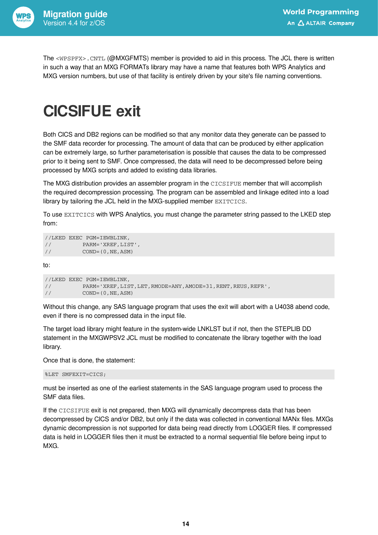

The <WPSPFX>.CNTL (@MXGFMTS) member is provided to aid in this process. The JCL there is written in such a way that an MXG FORMATs library may have a name that features both WPS Analytics and MXG version numbers, but use of that facility is entirely driven by your site's file naming conventions.

### <span id="page-13-0"></span>**CICSIFUE exit**

Both CICS and DB2 regions can be modified so that any monitor data they generate can be passed to the SMF data recorder for processing. The amount of data that can be produced by either application can be extremely large, so further parameterisation is possible that causes the data to be compressed prior to it being sent to SMF. Once compressed, the data will need to be decompressed before being processed by MXG scripts and added to existing data libraries.

The MXG distribution provides an assembler program in the CICSIFUE member that will accomplish the required decompression processing. The program can be assembled and linkage edited into a load library by tailoring the JCL held in the MXG-supplied member EXITCICS.

To use EXITCICS with WPS Analytics, you must change the parameter string passed to the LKED step from:

```
//LKED EXEC PGM=IEWBLINK,
// PARM='XREF,LIST',
// COND=(0,NE,ASM)
```
to:

```
//LKED EXEC PGM=IEWBLINK,
// PARM='XREF,LIST,LET,RMODE=ANY,AMODE=31,RENT,REUS,REFR',
// COND=(0,NE,ASM)
```
Without this change, any SAS language program that uses the exit will abort with a U4038 abend code, even if there is no compressed data in the input file.

The target load library might feature in the system-wide LNKLST but if not, then the STEPLIB DD statement in the MXGWPSV2 JCL must be modified to concatenate the library together with the load library.

Once that is done, the statement:

```
%LET SMFEXIT=CICS;
```
must be inserted as one of the earliest statements in the SAS language program used to process the SMF data files.

If the CICSIFUE exit is not prepared, then MXG will dynamically decompress data that has been decompressed by CICS and/or DB2, but only if the data was collected in conventional MANx files. MXGs dynamic decompression is not supported for data being read directly from LOGGER files. If compressed data is held in LOGGER files then it must be extracted to a normal sequential file before being input to MXG.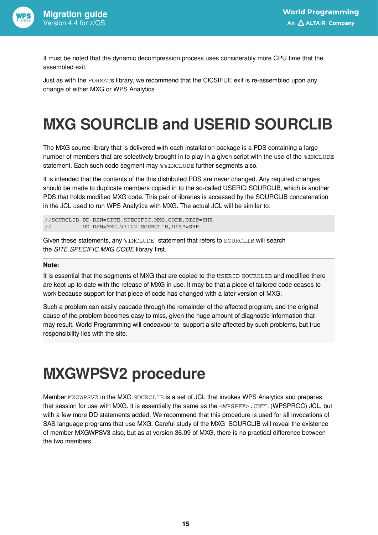

It must be noted that the dynamic decompression process uses considerably more CPU time that the assembled exit.

Just as with the FORMATs library, we recommend that the CICSIFUE exit is re-assembled upon any change of either MXG or WPS Analytics.

## <span id="page-14-0"></span>**MXG SOURCLIB and USERID SOURCLIB**

The MXG source library that is delivered with each installation package is a PDS containing a large number of members that are selectively brought in to play in a given script with the use of the *\§INCLUDE* statement. Each such code segment may %%INCLUDE further segments also.

It is intended that the contents of the this distributed PDS are never changed. Any required changes should be made to duplicate members copied in to the so-called USERID SOURCLIB, which is another PDS that holds modified MXG code. This pair of libraries is accessed by the SOURCLIB concatenation in the JCL used to run WPS Analytics with MXG. The actual JCL will be similar to:

//SOURCLIB DD DSN=SITE.SPECIFIC.MXG.CODE,DISP=SHR // DD DSN=MXG.V3102.SOURCLIB,DISP=SHR

Given these statements, any %INCLUDE statement that refers to SOURCLIB will search the *SITE.SPECIFIC.MXG.CODE* library first.

#### **Note:**

It is essential that the segments of MXG that are copied to the USERID SOURCLIB and modified there are kept up-to-date with the release of MXG in use. It may be that a piece of tailored code ceases to work because support for that piece of code has changed with a later version of MXG.

Such a problem can easily cascade through the remainder of the affected program, and the original cause of the problem becomes easy to miss, given the huge amount of diagnostic information that may result. World Programming will endeavour to support a site affected by such problems, but true responsibility lies with the site.

### <span id="page-14-1"></span>**MXGWPSV2 procedure**

Member MXGWPSV2 in the MXG SOURCLIB is a set of JCL that invokes WPS Analytics and prepares that session for use with MXG. It is essentially the same as the <WPSPFX>. CNTL (WPSPROC) JCL, but with a few more DD statements added. We recommend that this procedure is used for all invocations of SAS language programs that use MXG. Careful study of the MXG SOURCLIB will reveal the existence of member MXGWPSV3 also, but as at version 36.09 of MXG, there is no practical difference between the two members.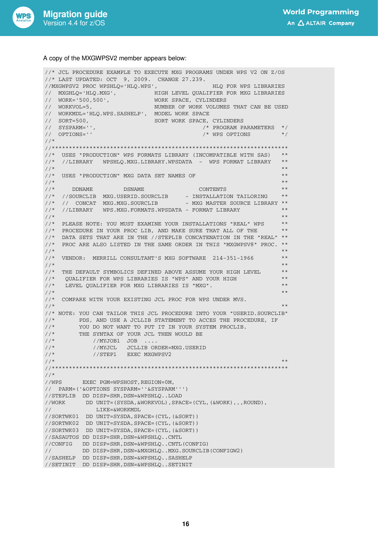

#### A copy of the MXGWPSV2 member appears below:

//\* JCL PROCEDURE EXAMPLE TO EXECUTE MXG PROGRAMS UNDER WPS V2 ON Z/OS //\* LAST UPDATED: OCT 9, 2009. CHANGE 27.239. //MXGWPSV2 PROC WPSHLQ='HLQ.WPS', HLQ FOR WPS LIBRARIES // MXGHLQ='HLQ.MXG', HIGH LEVEL QUALIFIER FOR MXG LIBRARIES // WORK='500,500', WORK SPACE, CYLINDERS // WORKVOL=5, NUMBER OF WORK VOLUMES THAT CAN BE USED // WORKMDL='HLQ.WPS.SASHELP', MODEL WORK SPACE // SORT=500, SORT WORK SPACE, CYLINDERS  $\begin{array}{lllll} \text{{\it N}} & \text{{\it N}} & \text{{\it N}} & \text{{\it N}} & \text{{\it N}} & \text{{\it N}} & \text{{\it N}} & \text{{\it N}} & \text{{\it N}} & \text{{\it N}} & \text{{\it N}} & \text{{\it N}} & \text{{\it N}} & \text{{\it N}} & \text{{\it N}} & \text{{\it N}} & \text{{\it N}} & \text{{\it N}} & \text{{\it N}} & \text{{\it N}} & \text{{\it N}} & \text{{\it N}} & \text{{\it N}} & \text{{\it N}} & \text{{\it N}} & \text{{\it N}} & \text{{$  $/*$  WPS OPTIONS \*/ //\* //\*\*\*\*\*\*\*\*\*\*\*\*\*\*\*\*\*\*\*\*\*\*\*\*\*\*\*\*\*\*\*\*\*\*\*\*\*\*\*\*\*\*\*\*\*\*\*\*\*\*\*\*\*\*\*\*\*\*\*\*\*\*\*\*\*\*\*\*\* //\* USES "PRODUCTION" WPS FORMATS LIBRARY (INCOMPATIBLE WITH SAS) \*\* //\* //LIBRARY WPSHLQ.MXG.LIBRARY.WPSDATA - WPS FORMAT LIBRARY \*\* \* \* \* \* \*  $\frac{1}{\sqrt{2}}$  . The contract of the contract of the contract of the contract of the contract of the contract of the contract of the contract of the contract of the contract of the contract of the contract of the contract o  $\mathcal{O}/\mathcal{N}$  USES "PRODUCTION" MXG DATA SET NAMES OF  $\mathcal{N}$  ,  $\mathcal{N}$  $\frac{1}{\sqrt{2}}$  . The contract of the contract of the contract of the contract of the contract of the contract of the contract of the contract of the contract of the contract of the contract of the contract of the contract o  $\mathcal{U}/\mathcal{N}$  DDNAME DSNAME CONTENTS  $\mathcal{N}$ //\* //SOURCLIB MXG.USERID.SOURCLIB - INSTALLATION TAILORING \*\*  $//*$  // CONCAT MXG.MXG.SOURCLIB - MXG MASTER SOURCE LIBRARY \*\* //\* //LIBRARY WPS.MXG.FORMATS.WPSDATA – FORMAT LIBRARY \*\* \*\* \*\* \*\*  $\frac{1}{\sqrt{2}}$  . The contract of the contract of the contract of the contract of the contract of the contract of the contract of the contract of the contract of the contract of the contract of the contract of the contract o //\* PLEASE NOTE: YOU MUST EXAMINE YOUR INSTALLATIONS "REAL" WPS \*\*  $1/$ \* PROCEDURE IN YOUR PROC LIB, AND MAKE SURE THAT ALL OF THE  $***$ //\* DATA SETS THAT ARE IN THE //STEPLIB CONCATENATION IN THE "REAL" \*\* //\* PROC ARE ALSO LISTED IN THE SAME ORDER IN THIS "MXGWPSV8" PROC. \*\*  $\frac{1}{\sqrt{2}}$  . The contract of the contract of the contract of the contract of the contract of the contract of the contract of the contract of the contract of the contract of the contract of the contract of the contract o //\* VENDOR: MERRILL CONSULTANT'S MXG SOFTWARE 214-351-1966 \*\*  $\frac{1}{\sqrt{2}}$  . The contract of the contract of the contract of the contract of the contract of the contract of the contract of the contract of the contract of the contract of the contract of the contract of the contract o //\* THE DEFAULT SYMBOLICS DEFINED ABOVE ASSUME YOUR HIGH LEVEL \*\*<br>//\* QUALIFIER FOR WPS LIBRARIES IS "WPS" AND YOUR HIGH \*\* QUALIFIER FOR WPS LIBRARIES IS "WPS" AND YOUR HIGH \*\* //\* LEVEL QUALIFIER FOR MXG LIBRARIES IS "MXG". \*\*  $\frac{1}{\sqrt{2}}$  . The contract of the contract of the contract of the contract of the contract of the contract of the contract of the contract of the contract of the contract of the contract of the contract of the contract o //\* COMPARE WITH YOUR EXISTING JCL PROC FOR WPS UNDER MVS.  $\frac{1}{\sqrt{2}}$  . The contract of the contract of the contract of the contract of the contract of the contract of the contract of the contract of the contract of the contract of the contract of the contract of the contract o //\* NOTE: YOU CAN TAILOR THIS JCL PROCEDURE INTO YOUR "USERID.SOURCLIB" //\* PDS, AND USE A JCLLIB STATEMENT TO ACCES THE PROCEDURE, IF  $\frac{1}{\ast}$  YOU DO NOT WANT TO PUT IT IN YOUR SYSTEM PROCLIB. //\* YOU DO NOT WANT TO PUT IT IN YOUR SYSTEM PROCLIB.<br>//\* THE SYNTAX OF YOUR JCL THEN WOULD BE THE SYNTAX OF YOUR JCL THEN WOULD BE //\* //MYJOB1 JOB .... //\* //MYJCL JCLLIB ORDER=MXG.USERID //\*  $\qquad$  //STEP1 EXEC MXGWPSV2 //\*  $\frac{1}{\sqrt{2}}$  . The contract of the contract of the contract of the contract of the contract of the contract of the contract of the contract of the contract of the contract of the contract of the contract of the contract o //\*\*\*\*\*\*\*\*\*\*\*\*\*\*\*\*\*\*\*\*\*\*\*\*\*\*\*\*\*\*\*\*\*\*\*\*\*\*\*\*\*\*\*\*\*\*\*\*\*\*\*\*\*\*\*\*\*\*\*\*\*\*\*\*\*\*\*\*\* //\* //WPS EXEC PGM=WPSHOST,REGION=0M, // PARM=('&OPTIONS SYSPARM=''&SYSPARM''') //STEPLIB DD DISP=SHR,DSN=&WPSHLQ..LOAD //WORK DD UNIT=(SYSDA, &WORKVOL), SPACE=(CYL, (&WORK), , , ROUND), // LIKE=&WORKMDL //SORTWK01 DD UNIT=SYSDA,SPACE=(CYL,(&SORT)) //SORTWK02 DD UNIT=SYSDA,SPACE=(CYL,(&SORT)) //SORTWK03 DD UNIT=SYSDA,SPACE=(CYL,(&SORT)) //SASAUTOS DD DISP=SHR,DSN=&WPSHLQ..CNTL //CONFIG DD DISP=SHR,DSN=&WPSHLQ..CNTL(CONFIG) // DD DISP=SHR,DSN=&MXGHLQ..MXG.SOURCLIB(CONFIGW2) //SASHELP DD DISP=SHR,DSN=&WPSHLQ..SASHELP //SETINIT DD DISP=SHR,DSN=&WPSHLQ..SETINIT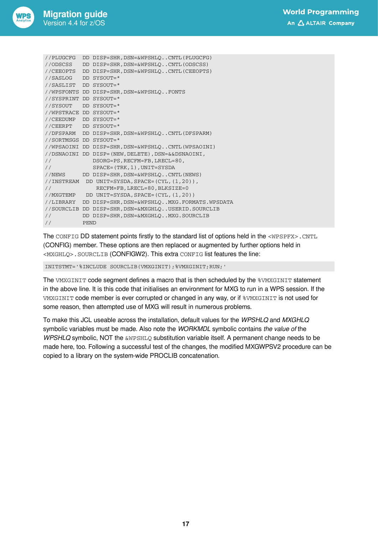| //PLUGCFG              |             | DD DISP=SHR, DSN=&WPSHLQCNTL(PLUGCFG)              |
|------------------------|-------------|----------------------------------------------------|
| //ODSCSS               |             | DD DISP=SHR, DSN=&WPSHLOCNTL(ODSCSS)               |
| //CEEOPTS              |             | DD DISP=SHR, DSN=&WPSHLOCNTL(CEEOPTS)              |
| //SASLOG               |             | DD SYSOUT=*                                        |
| //SASLIST              |             | DD SYSOUT=*                                        |
| //WPSFONTS             | DD          | DISP=SHR, DSN=&WPSHLOFONTS                         |
| //SYSPRINT             |             | DD SYSOUT=*                                        |
| //SYSOUT               |             | DD SYSOUT=*                                        |
| //WPSTRACE DD SYSOUT=* |             |                                                    |
| //CEEDUMP              |             | DD SYSOUT=*                                        |
| //CEERPT               |             | DD SYSOUT=*                                        |
| //DFSPARM              |             | DD DISP=SHR, DSN=&WPSHLQCNTL(DFSPARM)              |
| //SORTMSGS DD SYSOUT=* |             |                                                    |
|                        |             | //WPSAOINI DD DISP=SHR, DSN=&WPSHLOCNTL(WPSAOINI)  |
| //DSNAOINI             |             | DD DISP=(NEW, DELETE), DSN=&&DSNAOINI,             |
| $\frac{1}{2}$          |             | DSORG=PS, RECFM=FB, LRECL=80,                      |
| $\frac{1}{2}$          |             | $SPACE = (TRK, 1)$ , $UNIT = SYSTEMA$              |
| //NEWS                 |             | DD DISP=SHR, DSN=&WPSHLOCNTL(NEWS)                 |
| //INSTREAM             |             | DD UNIT=SYSDA, SPACE=(CYL, (1,20)),                |
| $\frac{1}{2}$          |             | RECFM=FB, LRECL=80, BLKSIZE=0                      |
| //MXGTEMP              |             | DD UNIT=SYSDA, SPACE=(CYL, (1,20))                 |
| //LIBRARY              |             | DD DISP=SHR, DSN=&WPSHLOMXG.FORMATS.WPSDATA        |
|                        |             | //SOURCLIB DD DISP=SHR, DSN=&MXGHLOUSERID.SOURCLIB |
| $\frac{1}{2}$          |             | DD DISP=SHR, DSN=&MXGHLOMXG.SOURCLIB               |
| $\frac{1}{2}$          | <b>PEND</b> |                                                    |

The CONFIG DD statement points firstly to the standard list of options held in the <WPSPFX>.CNTL (CONFIG) member. These options are then replaced or augmented by further options held in <MXGHLQ>.SOURCLIB (CONFIGW2). This extra CONFIG list features the line:

INITSTMT='%INCLUDE SOURCLIB(VMXGINIT);%VMXGINIT;RUN;'

The VMXGINIT code segment defines a macro that is then scheduled by the  $%$ VMXGINIT statement in the above line. It is this code that initialises an environment for MXG to run in a WPS session. If the VMXGINIT code member is ever corrupted or changed in any way, or if %VMXGINIT is not used for some reason, then attempted use of MXG will result in numerous problems.

To make this JCL useable across the installation, default values for the *WPSHLQ* and *MXGHLQ* symbolic variables must be made. Also note the *WORKMDL* symbolic contains *the value of* the *WPSHLQ* symbolic, NOT the &WPSHLQ substitution variable itself. A permanent change needs to be made here, too. Following a successful test of the changes, the modified MXGWPSV2 procedure can be copied to a library on the system-wide PROCLIB concatenation.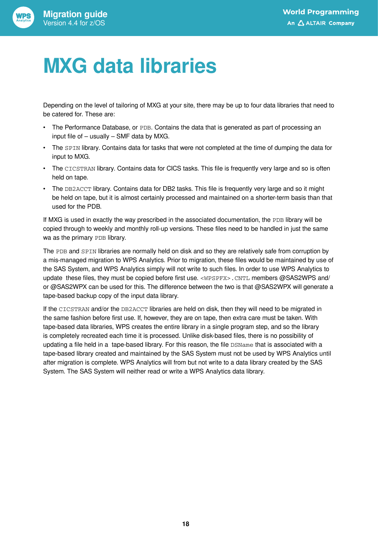

# <span id="page-17-0"></span>**MXG data libraries**

Depending on the level of tailoring of MXG at your site, there may be up to four data libraries that need to be catered for. These are:

- The Performance Database, or PDB. Contains the data that is generated as part of processing an input file of – usually – SMF data by MXG.
- The SPIN library. Contains data for tasks that were not completed at the time of dumping the data for input to MXG.
- The CICSTRAN library. Contains data for CICS tasks. This file is frequently very large and so is often held on tape.
- The DB2ACCT library. Contains data for DB2 tasks. This file is frequently very large and so it might be held on tape, but it is almost certainly processed and maintained on a shorter-term basis than that used for the PDB.

If MXG is used in exactly the way prescribed in the associated documentation, the PDB library will be copied through to weekly and monthly roll-up versions. These files need to be handled in just the same wa as the primary PDB library.

The PDB and SPIN libraries are normally held on disk and so they are relatively safe from corruption by a mis-managed migration to WPS Analytics. Prior to migration, these files would be maintained by use of the SAS System, and WPS Analytics simply will not write to such files. In order to use WPS Analytics to update these files, they must be copied before first use. <WPSPFX>.CNTL members @SAS2WPS and/ or @SAS2WPX can be used for this. The difference between the two is that @SAS2WPX will generate a tape-based backup copy of the input data library.

If the CICSTRAN and/or the DB2ACCT libraries are held on disk, then they will need to be migrated in the same fashion before first use. If, however, they are on tape, then extra care must be taken. With tape-based data libraries, WPS creates the entire library in a single program step, and so the library is completely recreated each time it is processed. Unlike disk-based files, there is no possibility of updating a file held in a tape-based library. For this reason, the file DSName that is associated with a tape-based library created and maintained by the SAS System must not be used by WPS Analytics until after migration is complete. WPS Analytics will from but not write to a data library created by the SAS System. The SAS System will neither read or write a WPS Analytics data library.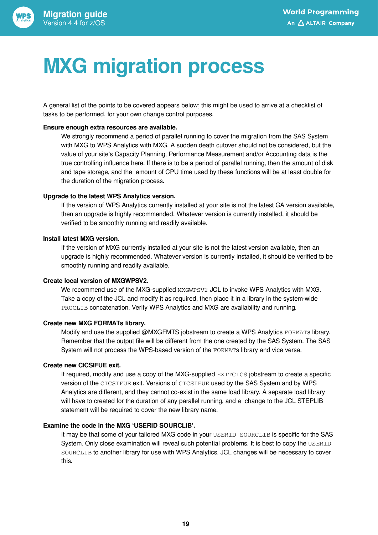

# <span id="page-18-0"></span>**MXG migration process**

A general list of the points to be covered appears below; this might be used to arrive at a checklist of tasks to be performed, for your own change control purposes.

#### **Ensure enough extra resources are available.**

We strongly recommend a period of parallel running to cover the migration from the SAS System with MXG to WPS Analytics with MXG. A sudden death cutover should not be considered, but the value of your site's Capacity Planning, Performance Measurement and/or Accounting data is the true controlling influence here. If there is to be a period of parallel running, then the amount of disk and tape storage, and the amount of CPU time used by these functions will be at least double for the duration of the migration process.

#### **Upgrade to the latest WPS Analytics version.**

If the version of WPS Analytics currently installed at your site is not the latest GA version available, then an upgrade is highly recommended. Whatever version is currently installed, it should be verified to be smoothly running and readily available.

#### **Install latest MXG version.**

If the version of MXG currently installed at your site is not the latest version available, then an upgrade is highly recommended. Whatever version is currently installed, it should be verified to be smoothly running and readily available.

#### **Create local version of MXGWPSV2.**

We recommend use of the MXG-supplied MXGWPSV2 JCL to invoke WPS Analytics with MXG. Take a copy of the JCL and modify it as required, then place it in a library in the system-wide PROCLIB concatenation. Verify WPS Analytics and MXG are availability and running.

#### **Create new MXG FORMATs library.**

Modify and use the supplied @MXGFMTS jobstream to create a WPS Analytics FORMATs library. Remember that the output file will be different from the one created by the SAS System. The SAS System will not process the WPS-based version of the FORMATs library and vice versa.

#### **Create new CICSIFUE exit.**

If required, modify and use a copy of the MXG-supplied EXITCICS jobstream to create a specific version of the CICSIFUE exit. Versions of CICSIFUE used by the SAS System and by WPS Analytics are different, and they cannot co-exist in the same load library. A separate load library will have to created for the duration of any parallel running, and a change to the JCL STEPLIB statement will be required to cover the new library name.

#### **Examine the code in the MXG 'USERID SOURCLIB'.**

It may be that some of your tailored MXG code in your USERID SOURCLIB is specific for the SAS System. Only close examination will reveal such potential problems. It is best to copy the USERID SOURCLIB to another library for use with WPS Analytics. JCL changes will be necessary to cover this.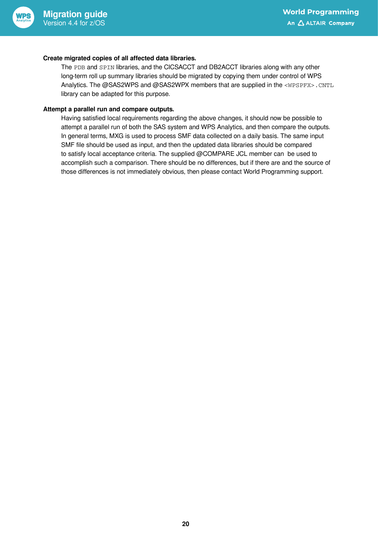

#### **Create migrated copies of all affected data libraries.**

The PDB and SPIN libraries, and the CICSACCT and DB2ACCT libraries along with any other long-term roll up summary libraries should be migrated by copying them under control of WPS Analytics. The @SAS2WPS and @SAS2WPX members that are supplied in the <WPSPFX>.CNTL library can be adapted for this purpose.

#### **Attempt a parallel run and compare outputs.**

Having satisfied local requirements regarding the above changes, it should now be possible to attempt a parallel run of both the SAS system and WPS Analytics, and then compare the outputs. In general terms, MXG is used to process SMF data collected on a daily basis. The same input SMF file should be used as input, and then the updated data libraries should be compared to satisfy local acceptance criteria. The supplied @COMPARE JCL member can be used to accomplish such a comparison. There should be no differences, but if there are and the source of those differences is not immediately obvious, then please contact World Programming support.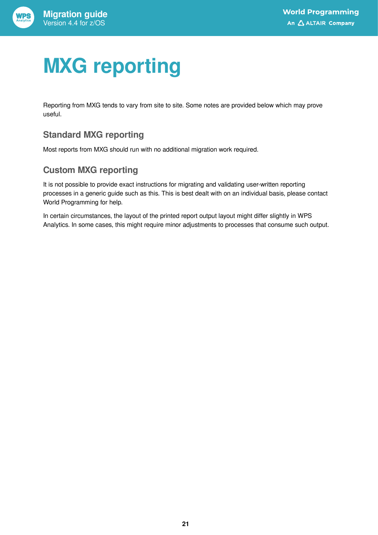

# <span id="page-20-0"></span>**MXG reporting**

Reporting from MXG tends to vary from site to site. Some notes are provided below which may prove useful.

### **Standard MXG reporting**

Most reports from MXG should run with no additional migration work required.

### **Custom MXG reporting**

It is not possible to provide exact instructions for migrating and validating user-written reporting processes in a generic guide such as this. This is best dealt with on an individual basis, please contact World Programming for help.

In certain circumstances, the layout of the printed report output layout might differ slightly in WPS Analytics. In some cases, this might require minor adjustments to processes that consume such output.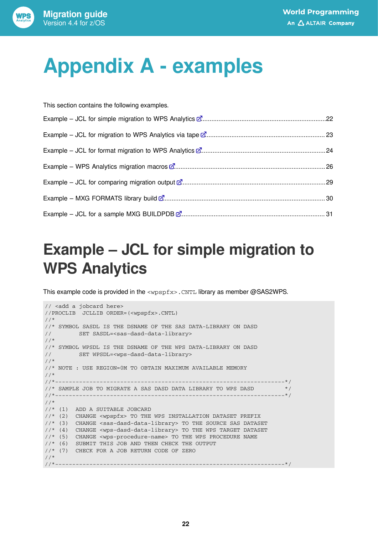

# <span id="page-21-0"></span>**Appendix A - examples**

| This section contains the following examples. |  |
|-----------------------------------------------|--|
|                                               |  |
|                                               |  |
|                                               |  |
|                                               |  |
|                                               |  |
|                                               |  |
|                                               |  |

### <span id="page-21-1"></span>**Example – JCL for simple migration to WPS Analytics**

This example code is provided in the <wpspfx>.CNTL library as member @SAS2WPS.

```
// <add a jobcard here>
//PROCLIB JCLLIB ORDER=(<wpspfx>.CNTL)
//*
//* SYMBOL SASDL IS THE DSNAME OF THE SAS DATA-LIBRARY ON DASD
// SET SASDL=<sas-dasd-data-library>
//*
//* SYMBOL WPSDL IS THE DSNAME OF THE WPS DATA-LIBRARY ON DASD
// SET WPSDL=<wps-dasd-data-library>
//*
//* NOTE : USE REGION=0M TO OBTAIN MAXIMUM AVAILABLE MEMORY
//*
//*-------------------------------------------------------------------*/
//* SAMPLE JOB TO MIGRATE A SAS DASD DATA LIBRARY TO WPS DASD */
//*-------------------------------------------------------------------*/
//*
//* (1) ADD A SUITABLE JOBCARD
//* (2) CHANGE <wpspfx> TO THE WPS INSTALLATION DATASET PREFIX
//* (3) CHANGE <sas-dasd-data-library> TO THE SOURCE SAS DATASET
//* (4) CHANGE <wps-dasd-data-library> TO THE WPS TARGET DATASET
//* (5) CHANGE <wps-procedure-name> TO THE WPS PROCEDURE NAME
//* (6) SUBMIT THIS JOB AND THEN CHECK THE OUTPUT
//* (7) CHECK FOR A JOB RETURN CODE OF ZERO
//*
//*-------------------------------------------------------------------*/
```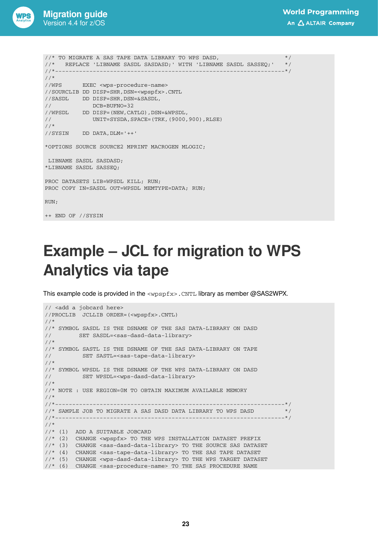![](_page_22_Picture_0.jpeg)

```
1/* TO MIGRATE A SAS TAPE DATA LIBRARY TO WPS DASD, *///* REPLACE 'LIBNAME SASDL SASDASD;' WITH 'LIBNAME SASDL SASSEQ;' */
//*-------------------------------------------------------------------*/
//*
//WPS EXEC <wps-procedure-name>
//SOURCLIB DD DISP=SHR,DSN=<wpspfx>.CNTL
//SASDL DD DISP=SHR,DSN=&SASDL,
// DCB=BUFNO=32
//WPSDL DD DISP=(NEW,CATLG),DSN=&WPSDL,
// UNIT=SYSDA,SPACE=(TRK,(9000,900),RLSE)
//*
//SYSIN DD DATA,DLM='++'
*OPTIONS SOURCE SOURCE2 MPRINT MACROGEN MLOGIC;
 LIBNAME SASDL SASDASD;
*LIBNAME SASDL SASSEQ;
PROC DATASETS LIB=WPSDL KILL; RUN;
PROC COPY IN=SASDL OUT=WPSDL MEMTYPE=DATA; RUN;
RUN;
```

```
++ END OF //SYSIN
```
### <span id="page-22-0"></span>**Example – JCL for migration to WPS Analytics via tape**

This example code is provided in the <wpspfx>.CNTL library as member @SAS2WPX.

```
// <add a jobcard here>
//PROCLIB JCLLIB ORDER=(<wpspfx>.CNTL)
//*
//* SYMBOL SASDL IS THE DSNAME OF THE SAS DATA-LIBRARY ON DASD
// SET SASDL=<sas-dasd-data-library>
//*
//* SYMBOL SASTL IS THE DSNAME OF THE SAS DATA-LIBRARY ON TAPE
// SET SASTL=<sas-tape-data-library>
//*
//* SYMBOL WPSDL IS THE DSNAME OF THE WPS DATA-LIBRARY ON DASD
// SET WPSDL=<wps-dasd-data-library>
//*
//* NOTE : USE REGION=0M TO OBTAIN MAXIMUM AVAILABLE MEMORY
//^*<br>//*__
                                 //*-------------------------------------------------------------------*/
\frac{1}{x} SAMPLE JOB TO MIGRATE A SAS DASD DATA LIBRARY TO WPS DASD \frac{x}{x}//*-------------------------------------------------------------------*/
//*
//* (1) ADD A SUITABLE JOBCARD
//* (2) CHANGE <wpspfx> TO THE WPS INSTALLATION DATASET PREFIX
//* (3) CHANGE <sas-dasd-data-library> TO THE SOURCE SAS DATASET
//* (4) CHANGE <sas-tape-data-library> TO THE SAS TAPE DATASET
//* (5) CHANGE <wps-dasd-data-library> TO THE WPS TARGET DATASET
//* (6) CHANGE <sas-procedure-name> TO THE SAS PROCEDURE NAME
```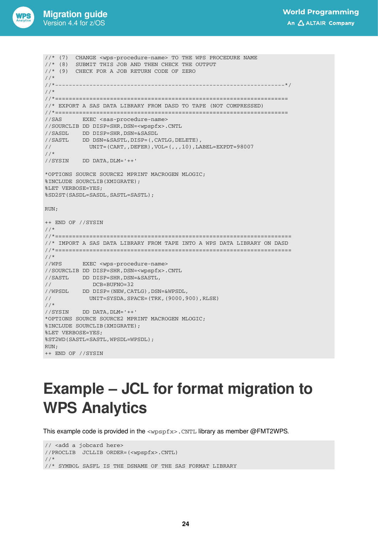![](_page_23_Picture_0.jpeg)

++ END OF //SYSIN

//\* (7) CHANGE <wps-procedure-name> TO THE WPS PROCEDURE NAME //\* (8) SUBMIT THIS JOB AND THEN CHECK THE OUTPUT //\* (9) CHECK FOR A JOB RETURN CODE OF ZERO  $\frac{1}{1}$  /  $\frac{1}{1}$  + -//\*-------------------------------------------------------------------\*/ //\* //\*==================================================================== //\* EXPORT A SAS DATA LIBRARY FROM DASD TO TAPE (NOT COMPRESSED) //\*==================================================================== //SAS EXEC <sas-procedure-name> //SOURCLIB DD DISP=SHR,DSN=<wpspfx>.CNTL //SASDL DD DISP=SHR,DSN=&SASDL //SASTL DD DSN=&SASTL,DISP=(,CATLG,DELETE), // UNIT=(CART,,DEFER),VOL=(,,,10),LABEL=EXPDT=98007 //\* //SYSIN DD DATA,DLM='++' \*OPTIONS SOURCE SOURCE2 MPRINT MACROGEN MLOGIC; %INCLUDE SOURCLIB(XMIGRATE); %LET VERBOSE=YES; %SD2ST(SASDL=SASDL,SASTL=SASTL); RUN; ++ END OF //SYSIN //\* //\*===================================================================== //\* IMPORT A SAS DATA LIBRARY FROM TAPE INTO A WPS DATA LIBRARY ON DASD //\*=====================================================================  $1/$ \* //WPS EXEC <wps-procedure-name> //SOURCLIB DD DISP=SHR,DSN=<wpspfx>.CNTL  $// SASTL \hspace{1cm} \texttt{DD} \hspace{1cm} \texttt{DISP=SHR} \hspace{1cm}, \texttt{DSN=&SASTL} \hspace{1cm},$ // DCB=BUFNO=32 //WPSDL DD DISP=(NEW,CATLG),DSN=&WPSDL, UNIT=SYSDA, SPACE=(TRK, (9000, 900), RLSE) //\* //SYSIN DD DATA,DLM='++' \*OPTIONS SOURCE SOURCE2 MPRINT MACROGEN MLOGIC; %INCLUDE SOURCLIB(XMIGRATE); %LET VERBOSE=YES; %ST2WD(SASTL=SASTL,WPSDL=WPSDL); RIJN:

### <span id="page-23-0"></span>**Example – JCL for format migration to WPS Analytics**

This example code is provided in the  $\langle w_{\text{PSDfx}} \rangle$ . CNTL library as member @FMT2WPS.

// <add a jobcard here> //PROCLIB JCLLIB ORDER=(<wpspfx>.CNTL) //\* //\* SYMBOL SASFL IS THE DSNAME OF THE SAS FORMAT LIBRARY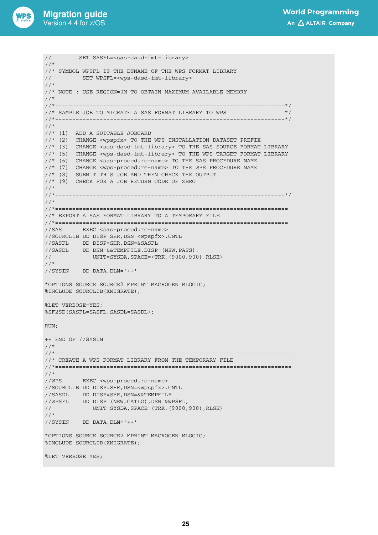![](_page_24_Picture_0.jpeg)

// SET SASFL=<sas-dasd-fmt-library>

```
1/*
//* SYMBOL WPSFL IS THE DSNAME OF THE WPS FORMAT LIBRARY
// SET WPSFL=<wps-dasd-fmt-library>
//*
//* NOTE : USE REGION=0M TO OBTAIN MAXIMUM AVAILABLE MEMORY
//^*<br>//*-------
               //*-------------------------------------------------------------------*/
//* SAMPLE JOB TO MIGRATE A SAS FORMAT LIBRARY TO WPS \frac{\ast}{\sqrt{2}}//*-------------------------------------------------------------------*/
//*
//* (1) ADD A SUITABLE JOBCARD
//* (2) CHANGE <wpspfx> TO THE WPS INSTALLATION DATASET PREFIX
//* (3) CHANGE <sas-dasd-fmt-library> TO THE SAS SOURCE FORMAT LIBRARY
//* (5) CHANGE <wps-dasd-fmt-library> TO THE WPS TARGET FORMAT LIBRARY
//* (6) CHANGE <sas-procedure-name> TO THE SAS PROCEDURE NAME
//* (7) CHANGE <wps-procedure-name> TO THE WPS PROCEDURE NAME
//* (8) SUBMIT THIS JOB AND THEN CHECK THE OUTPUT
//* (9) CHECK FOR A JOB RETURN CODE OF ZERO
//*<br>//*____
            //*-------------------------------------------------------------------*/
//*
//*====================================================================
//* EXPORT A SAS FORMAT LIBRARY TO A TEMPORARY FILE
//*====================================================================
//SAS EXEC <sas-procedure-name>
//SOURCLIB DD DISP=SHR,DSN=<wpspfx>.CNTL
//SASFL DD DISP=SHR,DSN=&SASFL
//SASDL DD DSN=&&TEMPFILE,DISP=(NEW,PASS),
// UNIT=SYSDA,SPACE=(TRK,(9000,900),RLSE)
//*
//SYSIN DD DATA,DLM='++'
*OPTIONS SOURCE SOURCE2 MPRINT MACROGEN MLOGIC;
%INCLUDE SOURCLIB(XMIGRATE);
%LET VERBOSE=YES;
%SF2SD(SASFL=SASFL,SASDL=SASDL);
RIJN:
++ END OF //SYSIN
//*
//*=====================================================================
//* CREATE A WPS FORMAT LIBRARY FROM THE TEMPORARY FILE
//*=====================================================================
//*
//WPS EXEC <wps-procedure-name>
//SOURCLIB DD DISP=SHR,DSN=<wpspfx>.CNTL
//SASDL DD DISP=SHR,DSN=&&TEMPFILE
//WPSFL DD DISP=(NEW,CATLG),DSN=&WPSFL,
// UNIT=SYSDA,SPACE=(TRK,(9000,900),RLSE)
//*
//SYSIN DD DATA,DLM='++'
*OPTIONS SOURCE SOURCE2 MPRINT MACROGEN MLOGIC;
%INCLUDE SOURCLIB(XMIGRATE);
%LET VERBOSE=YES;
```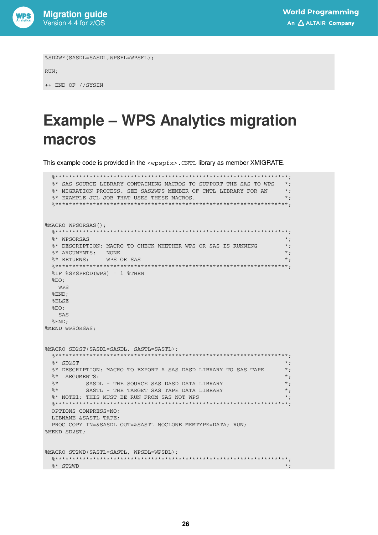![](_page_25_Picture_0.jpeg)

%SD2WF(SASDL=SASDL, WPSFL=WPSFL);

RUN;

++ END OF //SYSIN

### <span id="page-25-0"></span>**Example - WPS Analytics migration** macros

This example code is provided in the <wpspfx>. CNTL library as member XMIGRATE.

```
* SAS SOURCE LIBRARY CONTAINING MACROS TO SUPPORT THE SAS TO WPS *;
 %* MIGRATION PROCESS. SEE SAS2WPS MEMBER OF CNTL LIBRARY FOR AN
                                                  \star ;
 %* EXAMPLE JCL JOB THAT USES THESE MACROS.
                                                  \star;
 %MACRO WPSORSAS();
            2************
 %* WPSORSAS
                                                  \star .
 %* DESCRIPTION: MACRO TO CHECK WHETHER WPS OR SAS IS RUNNING
                                                  \star ;
 %* ARGUMENTS: NONE
                                                  \star;
 %* RETURNS: WPS OR SAS
                                                  \cdot ;
                  ******************
 %IF %SYSPROD(WPS) = 1 %THEN
 $DO:WPS
 %END;
 RELSE
 8DO;SAS
 %END;
%MEND WPSORSAS;
%MACRO SD2ST(SASDL=SASDL, SASTL=SASTL);
 \star;
 * SD2ST
                                                  ^{\star} ;
 %* DESCRIPTION: MACRO TO EXPORT A SAS DASD LIBRARY TO SAS TAPE
 %* ARGUMENTS:
                                                  \star;
                                                  \star;
    SASDL – THE SOURCE SAS DASD DATA LIBRARY<br>SASTL – THE TARGET SAS TAPE DATA LIBRARY
 %*
 8*\star;
 %* NOTE1: THIS MUST BE RUN FROM SAS NOT WPS
                                                  \star;
 OPTIONS COMPRESS=NO:
 LIBNAME & SASTL TAPE:
 PROC COPY IN=&SASDL OUT=&SASTL NOCLONE MEMTYPE=DATA: RUN;
%MEND SD2ST;
%MACRO ST2WD(SASTL=SASTL, WPSDL=WPSDL);
 \text{\%}^* ST2WD
                                                  *;
```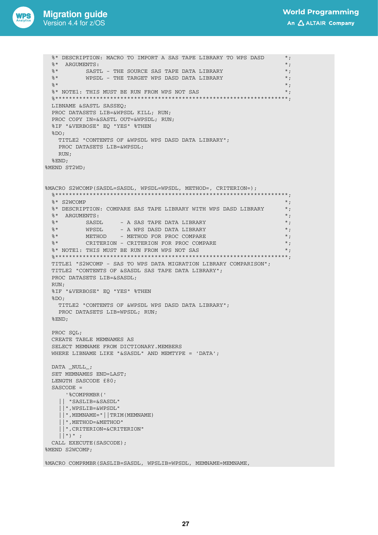![](_page_26_Picture_0.jpeg)

```
%* DESCRIPTION: MACRO TO IMPORT A SAS TAPE LIBRARY TO WPS DASD
                                                                       \star ;
 %* ARGUMENTS:
                                                                       \star :
 \frac{8}{9} *
           SASTL - THE SOURCE SAS TAPE DATA LIBRARY
                                                                       ^{\star} ;
 \frac{8}{9}*
           WPSDL - THE TARGET WPS DASD DATA LIBRARY
                                                                       ^{\star} ;
 2 *^{\star};
                                                                       *;
 %* NOTE1: THIS MUST BE RUN FROM WPS NOT SAS
 LIBNAME & SASTL SASSEO:
 PROC DATASETS LIB=&WPSDL KILL; RUN;
 PROC COPY IN=&SASTL OUT=&WPSDL; RUN;
 %IF "&VERBOSE" EQ "YES" %THEN
 $DO:TITLE2 "CONTENTS OF &WPSDL WPS DASD DATA LIBRARY";
   PROC DATASETS LIB=&WPSDL;
   RIM:%END;
%MEND ST2WD:
%MACRO S2WCOMP(SASDL=SASDL, WPSDL=WPSDL, METHOD=, CRITERION=);
 2***********
                                                               *********;
                                                                       ^{\star} ;
 \frac{1}{2} \star S2MCOMP
 %* DESCRIPTION: COMPARE SAS TAPE LIBRARY WITH WPS DASD LIBRARY
                                                                       \star;
 %* ARGUMENTS:
                                                                       \star ;
 2 *- A SAS TAPE DATA LIBRARY
          SASDL
                                                                       \star :
 2 *WPSDL
                     - A WPS DASD DATA LIBRARY
                                                                       \star;
          METHOD - METHOD FOR PROC COMPARE
                                                                       \star;
 2*\approx *
           CRITERION - CRITERION FOR PROC COMPARE
                                                                       \star;
 %* NOTE1: THIS MUST BE RUN FROM WPS NOT SAS
                                                                       \star :
 TITLE1 "S2WCOMP - SAS TO WPS DATA MIGRATION LIBRARY COMPARISON";
 TITLE2 "CONTENTS OF &SASDL SAS TAPE DATA LIBRARY";
 PROC DATASETS LIB=&SASDL;
 RUN:
 %IF "&VERBOSE" EO "YES" %THEN
 $DO:TITLE2 "CONTENTS OF &WPSDL WPS DASD DATA LIBRARY";
   PROC DATASETS LIB=WPSDL; RUN;
 %END;
 PROC SQL;
 CREATE TABLE MEMNAMES AS
 SELECT MEMNAME FROM DICTIONARY. MEMBERS
 WHERE LIBNAME LIKE "&SASDL" AND MEMTYPE = 'DATA';
 DATA _NULL_;
 SET MEMNAMES END=LAST;
 LENGTH SASCODE £80;
 SASCODE =' %COMPRMBR ('
   || "SASLIB=&SASDL"
   | | ", WPSLIB=&WPSDL"
   || \cdot ||, MEMNAME=" || TRIM (MEMNAME)
   || ", METHOD=&METHOD"
   || ", CRITERION=&CRITERION"
   || \cdot || || \cdot || || \cdot ||CALL EXECUTE (SASCODE):
%MEND S2WCOMP:
```
%MACRO COMPRMBR(SASLIB=SASDL, WPSLIB=WPSDL, MEMNAME=MEMNAME,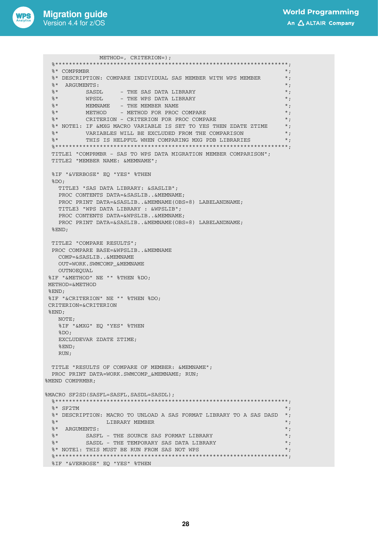![](_page_27_Picture_1.jpeg)

```
METHOD=, CRITERION=);
 %* COMPRMBR
                                                                ^{\star};
 %* DESCRIPTION: COMPARE INDIVIDUAL SAS MEMBER WITH WPS MEMBER
                                                                ^{\star} ;
 %*
   ARGUMENTS:
                                                                ^{\star};
      SASDL
 %*
                    - THE SAS DATA LIBRARY
                                                                ^{\star} ;
                                                                ^{\star} ;
         WPSDL
 \approx *
                   - THE WPS DATA LIBRARY
 %*
         MEMNAME - THE MEMBER NAME
                                                                \star ;
 2 *METHOD - METHOD FOR PROC COMPARE
                                                                \star;
 8<sup>2</sup><br>8* CRITERION - CRITERION FOR PROC COMPARE
                                                                \star .
                                                                \star;
 %* NOTE1: IF &MXG MACRO VARIABLE IS SET TO YES THEN ZDATE ZTIME
 \mathbb{R}^\star <br> – VARIABLES WILL BE EXCLUDED FROM THE COMPARISON
                                                                ^{\ast} ;
                                                                \star;
 2^*THIS IS HELPFUL WHEN COMPARING MXG PDB LIBRARIES
 TITLE1 "COMPRMBR - SAS TO WPS DATA MIGRATION MEMBER COMPARISON";
 TITLE2 "MEMBER NAME: &MEMNAME";
 %IF "&VERBOSE" EQ "YES" %THEN
 $DO:TITLE3 "SAS DATA LIBRARY: &SASLIB";
   PROC CONTENTS DATA=&SASLIB..&MEMNAME;
   PROC PRINT DATA=&SASLIB..&MEMNAME(OBS=8) LABELANDNAME;
  TITLE3 "WPS DATA LIBRARY : &WPSLIB";
   PROC CONTENTS DATA=&WPSLIB..&MEMNAME;
   PROC PRINT DATA=&SASLIB..&MEMNAME(OBS=8) LABELANDNAME;
 REND:TITLE? "COMPARE RESULTS":
 PROC COMPARE BASE=&WPSLIB..&MEMNAME
  COMP=&SASLIB..&MEMNAME
   OUT=WORK.SWMCOMP &MEMNAME
   OUTNOEOUAL
%IF "&METHOD" NE "" %THEN %DO:
METHOD=&METHOD
REND\cdot%IF "&CRITERION" NE "" %THEN %DO:
CRITERION=&CRITERION
REND:
  NOTE;
   %IF "&MXG" EQ "YES" %THEN
   $DO:EXCLUDEVAR ZDATE ZTIME.
   REND:RUN:
 TITLE "RESULTS OF COMPARE OF MEMBER: &MEMNAME";
 PROC PRINT DATA=WORK.SWMCOMP &MEMNAME; RUN;
%MEND COMPRMBR:
%MACRO SF2SD(SASFL=SASFL, SASDL=SASDL);
 % * SF2TM
                                                                \star;
 \texttt{\%*} DESCRIPTION: MACRO TO UNLOAD A SAS FORMAT LIBRARY TO A SAS DASD \texttt{*};%*
               LIBRARY MEMBER
                                                                \star ;
                                                                *;
 %* ARGUMENTS:
     SASFL - THE SOURCE SAS FORMAT LIBRARY
                                                                *;
 %*
 \approx *
          SASDL - THE TEMPORARY SAS DATA LIBRARY
                                                                \star;
 %* NOTE1: THIS MUST BE RUN FROM SAS NOT WPS
                                                                \star ;
 %IF "&VERBOSE" EQ "YES" %THEN
```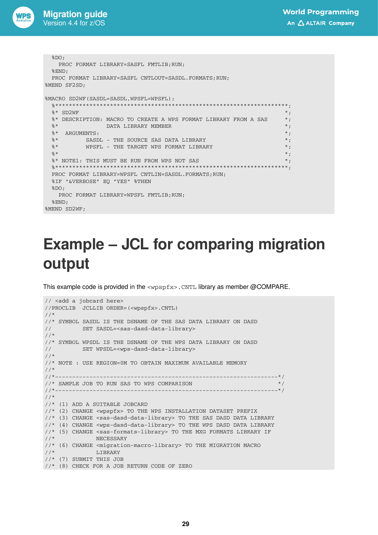![](_page_28_Picture_1.jpeg)

```
8DO:PROC FORMAT LIBRARY=SASFL FMTLIB; RUN;
 %END:PROC FORMAT LIBRARY=SASFL CNTLOUT=SASDL.FORMATS; RUN;
%MEND SF2SD;
%MACRO SD2WF (SASDL=SASDL, WPSFL=WPSFL) ;
 % * SD2WF
                                                              \star;
 %* DESCRIPTION: MACRO TO CREATE A WPS FORMAT LIBRARY FROM A SAS
                                                              \star ;
              DATA LIBRARY MEMBER
 %*
                                                             \star;
 %* ARGUMENTS:
                                                              *;
 %*
     SASDL - THE SOURCE SAS DATA LIBRARY
                                                              ^{\star};
                                                              \star;
 %*
         WPSFL - THE TARGET WPS FORMAT LIBRARY
 2 *\star ;
 %* NOTE1: THIS MUST BE RUN FROM WPS NOT SAS
                                                              \star;
                          PROC FORMAT LIBRARY=WPSFL CNTLIN=SASDL.FORMATS; RUN;
 %IF "&VERBOSE" EQ "YES" %THEN
 $DO:PROC FORMAT LIBRARY=WPSFL FMTLIB; RUN;
 REND:%MEND SD2WF;
```
## <span id="page-28-0"></span>**Example – JCL for comparing migration** output

This example code is provided in the  $\langle w_{\text{PSD}} f_{\text{xx}} \rangle$ . CNTL library as member @COMPARE.

```
// <add a jobcard here>
//PROCLIB JCLLIB ORDER=(<wpspfx>.CNTL)
//*//* SYMBOL SASDL IS THE DSNAME OF THE SAS DATA LIBRARY ON DASD
\frac{1}{2}SET SASDL=<sas-dasd-data-library>
//*//* SYMBOL WPSDL IS THE DSNAME OF THE WPS DATA LIBRARY ON DASD
\frac{1}{2}SET WPSDL=<wps-dasd-data-library>
//*//* NOTE : USE REGION=0M TO OBTAIN MAXIMUM AVAILABLE MEMORY
11*11* -------
           //* SAMPLE JOB TO RUN SAS TO WPS COMPARISON
                                                                * /
11* -------+//*//* (1) ADD A SUITABLE JOBCARD
//* (2) CHANGE <wpspfx> TO THE WPS INSTALLATION DATASET PREFIX
//* (3) CHANGE <sas-dasd-data-library> TO THE SAS DASD DATA LIBRARY
//* (4) CHANGE <wps-dasd-data-library> TO THE WPS DASD DATA LIBRARY
//* (5) CHANGE <sas-formats-library> TO THE MXG FORMATS LIBRARY IF
11*NECESSARY
//* (6) CHANGE <migration-macro-library> TO THE MIGRATION MACRO
//*LIBRARY
//* (7) SUBMIT THIS JOB
//* (8) CHECK FOR A JOB RETURN CODE OF ZERO
```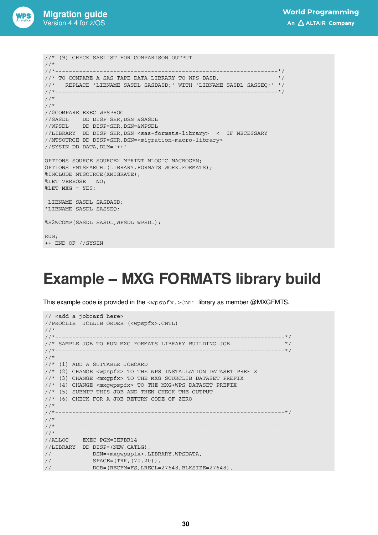![](_page_29_Picture_0.jpeg)

```
//* (9) CHECK SASLIST FOR COMPARISON OUTPUT 
\frac{1}{1+x}//*-----------------------------------------------------------------*/ 
\frac{1}{*} TO COMPARE A SAS TAPE DATA LIBRARY TO WPS DASD,
//* REPLACE 'LIBNAME SASDL SASDASD;' WITH 'LIBNAME SASDL SASSEQ;' */ 
//*-----------------------------------------------------------------*/ 
//* 
//* 
//@COMPARE EXEC WPSPROC 
//SASDL DD DISP=SHR,DSN=&SASDL 
//WPSDL DD DISP=SHR,DSN=&WPSDL 
//LIBRARY DD DISP=SHR,DSN=<sas-formats-library> <= IF NECESSARY 
//MTSOURCE DD DISP=SHR,DSN=<migration-macro-library> 
//SYSIN DD DATA,DLM='++' 
OPTIONS SOURCE SOURCE2 MPRINT MLOGIC MACROGEN; 
OPTIONS FMTSEARCH=(LIBRARY.FORMATS WORK.FORMATS); 
%INCLUDE MTSOURCE(XMIGRATE); 
%LET VERBOSE = NO; 
%LET MXG = YES; 
 LIBNAME SASDL SASDASD; 
*LIBNAME SASDL SASSEQ; 
%S2WCOMP(SASDL=SASDL,WPSDL=WPSDL); 
RUN; 
++ END OF //SYSIN
```
### <span id="page-29-0"></span>**Example – MXG FORMATS library build**

This example code is provided in the  $\langle wpspfx.\rangle$  CNTL library as member @MXGFMTS.

```
// <add a jobcard here>
//PROCLIB JCLLIB ORDER=(<wpspfx>.CNTL)
//*
//*-------------------------------------------------------------------*/
\frac{1}{x} SAMPLE JOB TO RUN MXG FORMATS LIBRARY BUILDING JOB \frac{x}{x}//*-------------------------------------------------------------------*/
//*
//* (1) ADD A SUITABLE JOBCARD
//* (2) CHANGE <wpspfx> TO THE WPS INSTALLATION DATASET PREFIX
//* (3) CHANGE <mxgpfx> TO THE MXG SOURCLIB DATASET PREFIX
//* (4) CHANGE <mxgwpspfx> TO THE MXG+WPS DATASET PREFIX
//* (5) SUBMIT THIS JOB AND THEN CHECK THE OUTPUT
//* (6) CHECK FOR A JOB RETURN CODE OF ZERO
\frac{1}{1+x}//*-------------------------------------------------------------------*/
1/*
//*=====================================================================
//*
//ALLOC EXEC PGM=IEFBR14
//LIBRARY DD DISP=(NEW,CATLG),
// DSN=<mxgwpspfx>.LIBRARY.WPSDATA,
// SPACE=(TRK,(70,20)),
// DCB=(RECFM=FS,LRECL=27648,BLKSIZE=27648),
```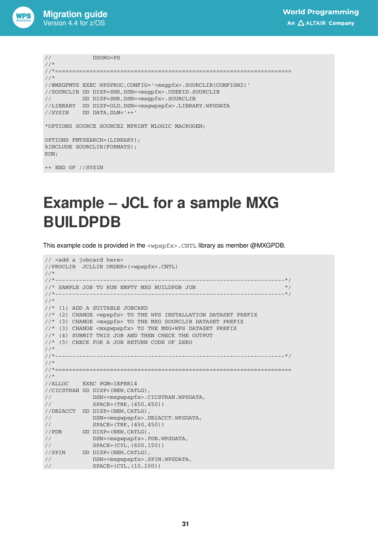![](_page_30_Picture_0.jpeg)

```
// DSORG=PS
1///*=====================================================================
//*//@MXGFMTS EXEC WPSPROC,CONFIG='<mxgpfx>.SOURCLIB(CONFIGW2)'
//SOURCLIB DD DISP=SHR,DSN=<mxgpfx>.USERID.SOURCLIB
// DD DISP=SHR,DSN=<mxgpfx>.SOURCLIB
//LIBRARY DD DISP=OLD,DSN=<mxgwpspfx>.LIBRARY.WPSDATA
//SYSIN DD DATA,DLM='++'
*OPTIONS SOURCE SOURCE2 MPRINT MLOGIC MACROGEN;
OPTIONS FMTSEARCH=(LIBRARY);
%INCLUDE SOURCLIB(FORMATS);
RUN;
```
++ END OF //SYSIN

### <span id="page-30-0"></span>**Example – JCL for a sample MXG BUILDPDB**

This example code is provided in the  $\langle w \rangle$   $\langle w \rangle$  as member  $\langle \text{MXGPDB}}$ .

```
// <add a jobcard here>
//PROCLIB JCLLIB ORDER=(<wpspfx>.CNTL)
//*
//*-------------------------------------------------------------------*/
\frac{1}{x} SAMPLE JOB TO RUN EMPTY MXG BUILDPDB JOB \frac{x}{x}//*-------------------------------------------------------------------*/
//*
//* (1) ADD A SUITABLE JOBCARD
//* (2) CHANGE <wpspfx> TO THE WPS INSTALLATION DATASET PREFIX
//* (3) CHANGE <mxgpfx> TO THE MXG SOURCLIB DATASET PREFIX
//* (3) CHANGE <mxgwpspfx> TO THE MXG+WPS DATASET PREFIX
//* (4) SUBMIT THIS JOB AND THEN CHECK THE OUTPUT
//* (5) CHECK FOR A JOB RETURN CODE OF ZERO
\frac{1}{1+x}//*-------------------------------------------------------------------*/
//*
//*=====================================================================
//*
//ALLOC EXEC PGM=IEFBR14
//CICSTRAN DD DISP=(NEW,CATLG),
// DSN=<mxgwpspfx>.CICSTRAN.WPSDATA,
// SPACE=(TRK,(450,450))
//DB2ACCT DD DISP=(NEW,CATLG),
// DSN=<mxgwpspfx>.DB2ACCT.WPSDATA,
// SPACE=(TRK,(450,450))
//PDB DD DISP=(NEW,CATLG),
// DSN=<mxgwpspfx>.PDB.WPSDATA,
// SPACE=(CYL,(600,150))
//SPIN DD DISP=(NEW,CATLG),
// DSN=<mxgwpspfx>.SPIN.WPSDATA,
// SPACE=(CYL,(10,100))
```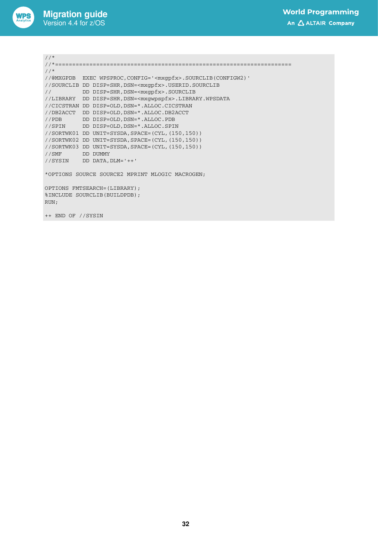![](_page_31_Picture_0.jpeg)

```
//*
//*=====================================================================
//*
//@MXGPDB EXEC WPSPROC,CONFIG='<mxgpfx>.SOURCLIB(CONFIGW2)'
//SOURCLIB DD DISP=SHR,DSN=<mxgpfx>.USERID.SOURCLIB
// DD DISP=SHR,DSN=<mxgpfx>.SOURCLIB
//LIBRARY DD DISP=SHR,DSN=<mxgwpspfx>.LIBRARY.WPSDATA
//CICSTRAN DD DISP=OLD,DSN=*.ALLOC.CICSTRAN
//DB2ACCT DD DISP=OLD,DSN=*.ALLOC.DB2ACCT
//PDB DD DISP=OLD,DSN=*.ALLOC.PDB
//SPIN DD DISP=OLD,DSN=*.ALLOC.SPIN
//SORTWK01 DD UNIT=SYSDA,SPACE=(CYL,(150,150))
//SORTWK02 DD UNIT=SYSDA,SPACE=(CYL,(150,150))
//SORTWK03 DD UNIT=SYSDA,SPACE=(CYL,(150,150))
//SMF DD DUMMY
//SYSIN DD DATA,DLM='++'
*OPTIONS SOURCE SOURCE2 MPRINT MLOGIC MACROGEN;
OPTIONS FMTSEARCH=(LIBRARY);
%INCLUDE SOURCLIB(BUILDPDB);
RUN;
++ END OF //SYSIN
```